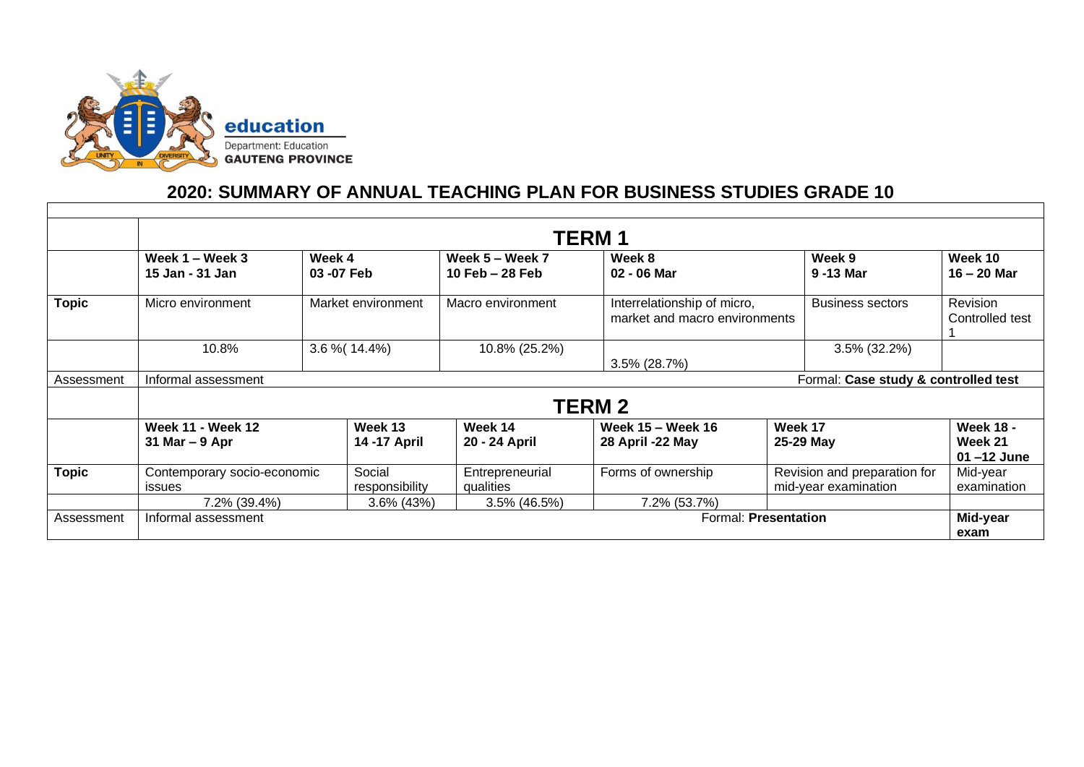

## **2020: SUMMARY OF ANNUAL TEACHING PLAN FOR BUSINESS STUDIES GRADE 10**

|              | <b>TERM1</b>                                                  |                    |                                         |                              |                                                              |                                                      |                          |                                               |  |  |  |  |
|--------------|---------------------------------------------------------------|--------------------|-----------------------------------------|------------------------------|--------------------------------------------------------------|------------------------------------------------------|--------------------------|-----------------------------------------------|--|--|--|--|
|              | Week 4<br>Week $1 -$ Week 3<br>15 Jan - 31 Jan<br>03 - 07 Feb |                    | Week $5 -$ Week $7$<br>10 Feb $-28$ Feb | Week 8<br>02 - 06 Mar        |                                                              | Week 9<br>9-13 Mar                                   | Week 10<br>$16 - 20$ Mar |                                               |  |  |  |  |
| Topic        | Micro environment                                             | Market environment |                                         | Macro environment            | Interrelationship of micro,<br>market and macro environments |                                                      | <b>Business sectors</b>  | <b>Revision</b><br>Controlled test            |  |  |  |  |
|              | 10.8%                                                         |                    | $3.6\%$ (14.4%)                         | 10.8% (25.2%)                | 3.5% (28.7%)                                                 |                                                      | 3.5% (32.2%)             |                                               |  |  |  |  |
| Assessment   | Formal: Case study & controlled test<br>Informal assessment   |                    |                                         |                              |                                                              |                                                      |                          |                                               |  |  |  |  |
|              | <b>TERM 2</b>                                                 |                    |                                         |                              |                                                              |                                                      |                          |                                               |  |  |  |  |
|              | <b>Week 11 - Week 12</b><br>31 Mar $-9$ Apr                   |                    | Week 13<br>14 - 17 April                | Week 14<br>20 - 24 April     | Week 15 - Week 16<br>28 April -22 May                        | Week 17<br>25-29 May                                 |                          | <b>Week 18 -</b><br>Week 21<br>$01 - 12$ June |  |  |  |  |
| <b>Topic</b> | Contemporary socio-economic<br><b>issues</b><br>7.2% (39.4%)  |                    | Social<br>responsibility                | Entrepreneurial<br>qualities | Forms of ownership                                           | Revision and preparation for<br>mid-year examination |                          | Mid-year<br>examination                       |  |  |  |  |
|              |                                                               |                    | 3.6% (43%)                              | 3.5% (46.5%)                 | 7.2% (53.7%)                                                 |                                                      |                          |                                               |  |  |  |  |
| Assessment   | Formal: Presentation<br>Informal assessment                   |                    |                                         |                              |                                                              |                                                      |                          | Mid-year<br>exam                              |  |  |  |  |